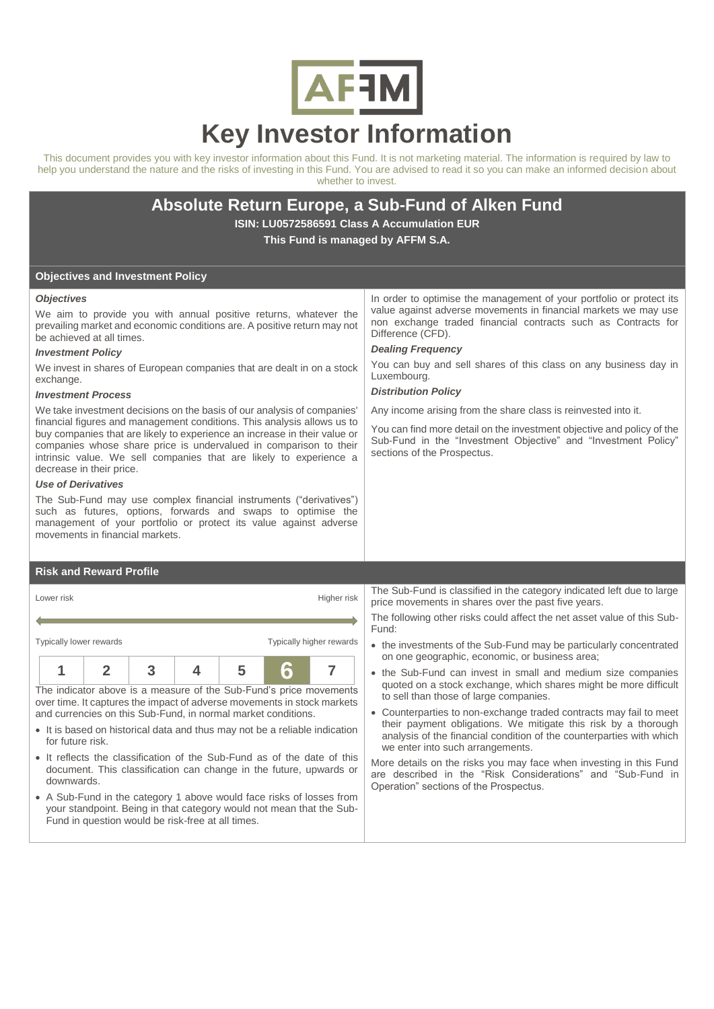

# **Key Investor Information**

This document provides you with key investor information about this Fund. It is not marketing material. The information is required by law to help you understand the nature and the risks of investing in this Fund. You are advised to read it so you can make an informed decision about whether to invest.

## **Absolute Return Europe, a Sub-Fund of Alken Fund**

**ISIN: LU0572586591 Class A Accumulation EUR This Fund is managed by AFFM S.A.**

> Difference (CFD). *Dealing Frequency*

sections of the Prospectus.

Luxembourg. *Distribution Policy*

#### **Objectives and Investment Policy**

#### *Objectives*

We aim to provide you with annual positive returns, whatever the prevailing market and economic conditions are. A positive return may not be achieved at all times.

#### *Investment Policy*

We invest in shares of European companies that are dealt in on a stock exchange.

#### *Investment Process*

We take investment decisions on the basis of our analysis of companies' financial figures and management conditions. This analysis allows us to buy companies that are likely to experience an increase in their value or companies whose share price is undervalued in comparison to their intrinsic value. We sell companies that are likely to experience a decrease in their price.

#### *Use of Derivatives*

The Sub-Fund may use complex financial instruments ("derivatives") such as futures, options, forwards and swaps to optimise the management of your portfolio or protect its value against adverse movements in financial markets.

### **Risk and Reward Profile**

| Lower risk<br>Higher risk                                                                                                                                                                                      |  |  |  |  |  |  |  |
|----------------------------------------------------------------------------------------------------------------------------------------------------------------------------------------------------------------|--|--|--|--|--|--|--|
|                                                                                                                                                                                                                |  |  |  |  |  |  |  |
| Typically higher rewards<br>Typically lower rewards                                                                                                                                                            |  |  |  |  |  |  |  |
|                                                                                                                                                                                                                |  |  |  |  |  |  |  |
| The indicator above is a measure of the Sub-Fund's price movements<br>over time. It captures the impact of adverse movements in stock markets<br>and currencies on this Sub-Fund, in normal market conditions. |  |  |  |  |  |  |  |

- It is based on historical data and thus may not be a reliable indication for future risk.
- It reflects the classification of the Sub-Fund as of the date of this document. This classification can change in the future, upwards or downwards.
- A Sub-Fund in the category 1 above would face risks of losses from your standpoint. Being in that category would not mean that the Sub-Fund in question would be risk-free at all times.

In order to optimise the management of your portfolio or protect its value against adverse movements in financial markets we may use non exchange traded financial contracts such as Contracts for

You can buy and sell shares of this class on any business day in

You can find more detail on the investment objective and policy of the Sub-Fund in the "Investment Objective" and "Investment Policy"

Any income arising from the share class is reinvested into it.

The Sub-Fund is classified in the category indicated left due to large price movements in shares over the past five years.

The following other risks could affect the net asset value of this Sub-Fund:

- the investments of the Sub-Fund may be particularly concentrated on one geographic, economic, or business area;
- the Sub-Fund can invest in small and medium size companies quoted on a stock exchange, which shares might be more difficult to sell than those of large companies.
- Counterparties to non-exchange traded contracts may fail to meet their payment obligations. We mitigate this risk by a thorough analysis of the financial condition of the counterparties with which we enter into such arrangements.

More details on the risks you may face when investing in this Fund are described in the "Risk Considerations" and "Sub-Fund in Operation" sections of the Prospectus.